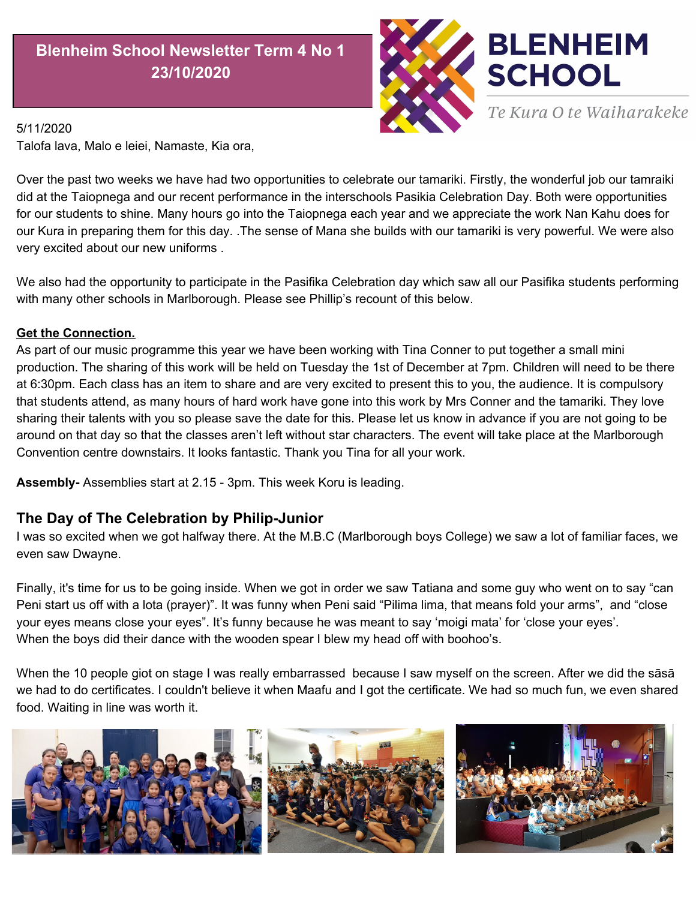## **Blenheim School Newsletter Term 4 No 1 23/10/2020**



## 5/11/2020

Talofa lava, Malo e leiei, Namaste, Kia ora,

Over the past two weeks we have had two opportunities to celebrate our tamariki. Firstly, the wonderful job our tamraiki did at the Taiopnega and our recent performance in the interschools Pasikia Celebration Day. Both were opportunities for our students to shine. Many hours go into the Taiopnega each year and we appreciate the work Nan Kahu does for our Kura in preparing them for this day. .The sense of Mana she builds with our tamariki is very powerful. We were also very excited about our new uniforms .

We also had the opportunity to participate in the Pasifika Celebration day which saw all our Pasifika students performing with many other schools in Marlborough. Please see Phillip's recount of this below.

## **Get the Connection.**

As part of our music programme this year we have been working with Tina Conner to put together a small mini production. The sharing of this work will be held on Tuesday the 1st of December at 7pm. Children will need to be there at 6:30pm. Each class has an item to share and are very excited to present this to you, the audience. It is compulsory that students attend, as many hours of hard work have gone into this work by Mrs Conner and the tamariki. They love sharing their talents with you so please save the date for this. Please let us know in advance if you are not going to be around on that day so that the classes aren't left without star characters. The event will take place at the Marlborough Convention centre downstairs. It looks fantastic. Thank you Tina for all your work.

**Assembly-** Assemblies start at 2.15 - 3pm. This week Koru is leading.

## **The Day of The Celebration by Philip-Junior**

I was so excited when we got halfway there. At the M.B.C (Marlborough boys College) we saw a lot of familiar faces, we even saw Dwayne.

Finally, it's time for us to be going inside. When we got in order we saw Tatiana and some guy who went on to say "can Peni start us off with a lota (prayer)". It was funny when Peni said "Pilima lima, that means fold your arms", and "close your eyes means close your eyes". It's funny because he was meant to say 'moigi mata' for 'close your eyes'. When the boys did their dance with the wooden spear I blew my head off with boohoo's.

When the 10 people giot on stage I was really embarrassed because I saw myself on the screen. After we did the sāsā we had to do certificates. I couldn't believe it when Maafu and I got the certificate. We had so much fun, we even shared food. Waiting in line was worth it.